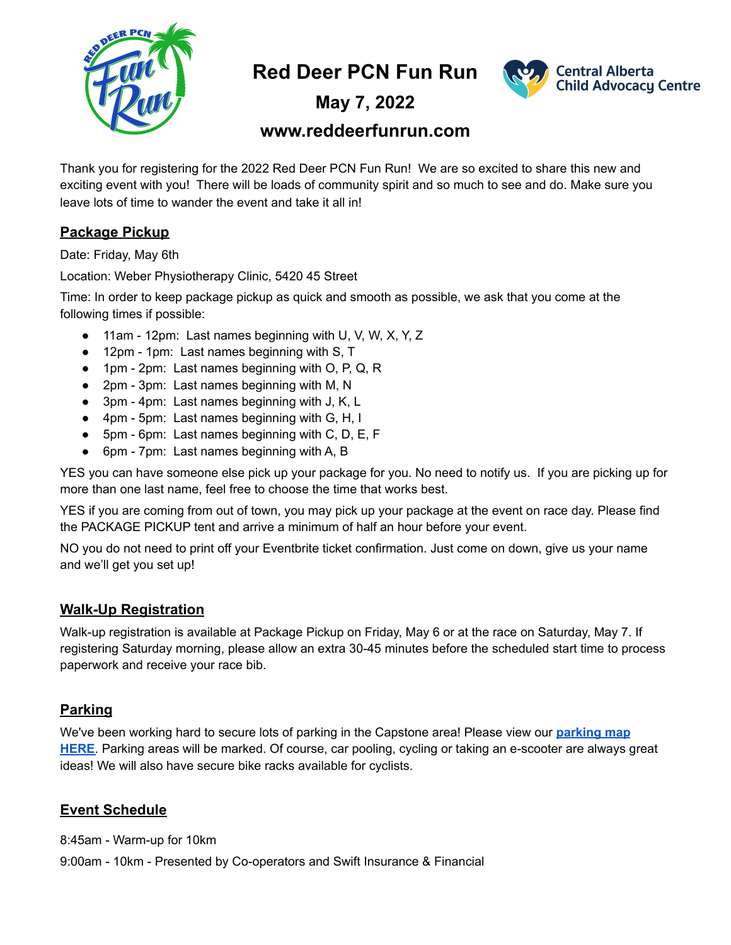

**Red Deer PCN Fun Run**



**May 7, 2022**

# **www.reddeerfunrun.com**

Thank you for registering for the 2022 Red Deer PCN Fun Run! We are so excited to share this new and exciting event with you! There will be loads of community spirit and so much to see and do. Make sure you leave lots of time to wander the event and take it all in!

# **Package Pickup**

Date: Friday, May 6th

Location: Weber Physiotherapy Clinic, 5420 45 Street

Time: In order to keep package pickup as quick and smooth as possible, we ask that you come at the following times if possible:

- 11am 12pm: Last names beginning with U, V, W, X, Y, Z
- 12pm 1pm: Last names beginning with S, T
- 1pm 2pm: Last names beginning with O, P, Q, R
- 2pm 3pm: Last names beginning with M, N
- 3pm 4pm: Last names beginning with J, K, L
- 4pm 5pm: Last names beginning with G, H, I
- 5pm 6pm: Last names beginning with C, D, E, F
- 6pm 7pm: Last names beginning with A, B

YES you can have someone else pick up your package for you. No need to notify us. If you are picking up for more than one last name, feel free to choose the time that works best.

YES if you are coming from out of town, you may pick up your package at the event on race day. Please find the PACKAGE PICKUP tent and arrive a minimum of half an hour before your event.

NO you do not need to print off your Eventbrite ticket confirmation. Just come on down, give us your name and we'll get you set up!

### **Walk-Up Registration**

Walk-up registration is available at Package Pickup on Friday, May 6 or at the race on Saturday, May 7. If registering Saturday morning, please allow an extra 30-45 minutes before the scheduled start time to process paperwork and receive your race bib.

### **Parking**

We've been working hard to secure lots of parking in the Capstone area! Please view our **[parking map](https://www.reddeerfunrun.com/parking) [HERE](https://www.reddeerfunrun.com/parking)**. Parking areas will be marked. Of course, car pooling, cycling or taking an e-scooter are always great ideas! We will also have secure bike racks available for cyclists.

### **Event Schedule**

8:45am - Warm-up for 10km

9:00am - 10km - Presented by Co-operators and Swift Insurance & Financial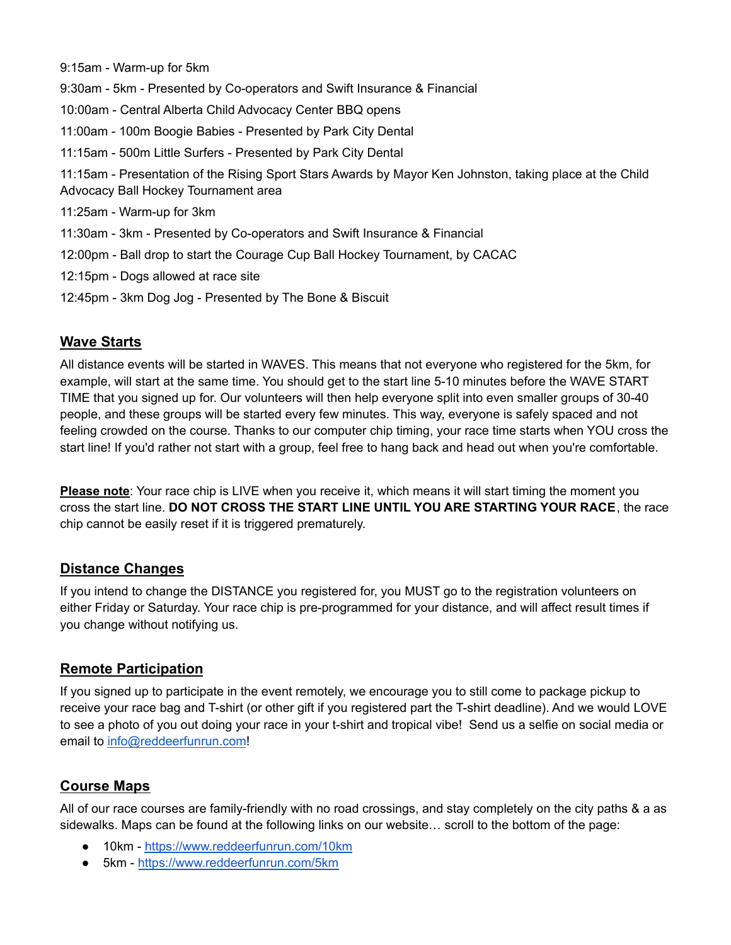9:15am - Warm-up for 5km

9:30am - 5km - Presented by Co-operators and Swift Insurance & Financial

- 10:00am Central Alberta Child Advocacy Center BBQ opens
- 11:00am 100m Boogie Babies Presented by Park City Dental
- 11:15am 500m Little Surfers Presented by Park City Dental

11:15am - Presentation of the Rising Sport Stars Awards by Mayor Ken Johnston, taking place at the Child Advocacy Ball Hockey Tournament area

11:25am - Warm-up for 3km

11:30am - 3km - Presented by Co-operators and Swift Insurance & Financial

- 12:00pm Ball drop to start the Courage Cup Ball Hockey Tournament, by CACAC
- 12:15pm Dogs allowed at race site
- 12:45pm 3km Dog Jog Presented by The Bone & Biscuit

#### **Wave Starts**

All distance events will be started in WAVES. This means that not everyone who registered for the 5km, for example, will start at the same time. You should get to the start line 5-10 minutes before the WAVE START TIME that you signed up for. Our volunteers will then help everyone split into even smaller groups of 30-40 people, and these groups will be started every few minutes. This way, everyone is safely spaced and not feeling crowded on the course. Thanks to our computer chip timing, your race time starts when YOU cross the start line! If you'd rather not start with a group, feel free to hang back and head out when you're comfortable.

**Please note**: Your race chip is LIVE when you receive it, which means it will start timing the moment you cross the start line. **DO NOT CROSS THE START LINE UNTIL YOU ARE STARTING YOUR RACE**, the race chip cannot be easily reset if it is triggered prematurely.

#### **Distance Changes**

If you intend to change the DISTANCE you registered for, you MUST go to the registration volunteers on either Friday or Saturday. Your race chip is pre-programmed for your distance, and will affect result times if you change without notifying us.

#### **Remote Participation**

If you signed up to participate in the event remotely, we encourage you to still come to package pickup to receive your race bag and T-shirt (or other gift if you registered part the T-shirt deadline). And we would LOVE to see a photo of you out doing your race in your t-shirt and tropical vibe! Send us a selfie on social media or email to [info@reddeerfunrun.com](mailto:info@reddeerfunrun.com)!

### **Course Maps**

All of our race courses are family-friendly with no road crossings, and stay completely on the city paths & a as sidewalks. Maps can be found at the following links on our website… scroll to the bottom of the page:

- 10km <https://www.reddeerfunrun.com/10km>
- 5km <https://www.reddeerfunrun.com/5km>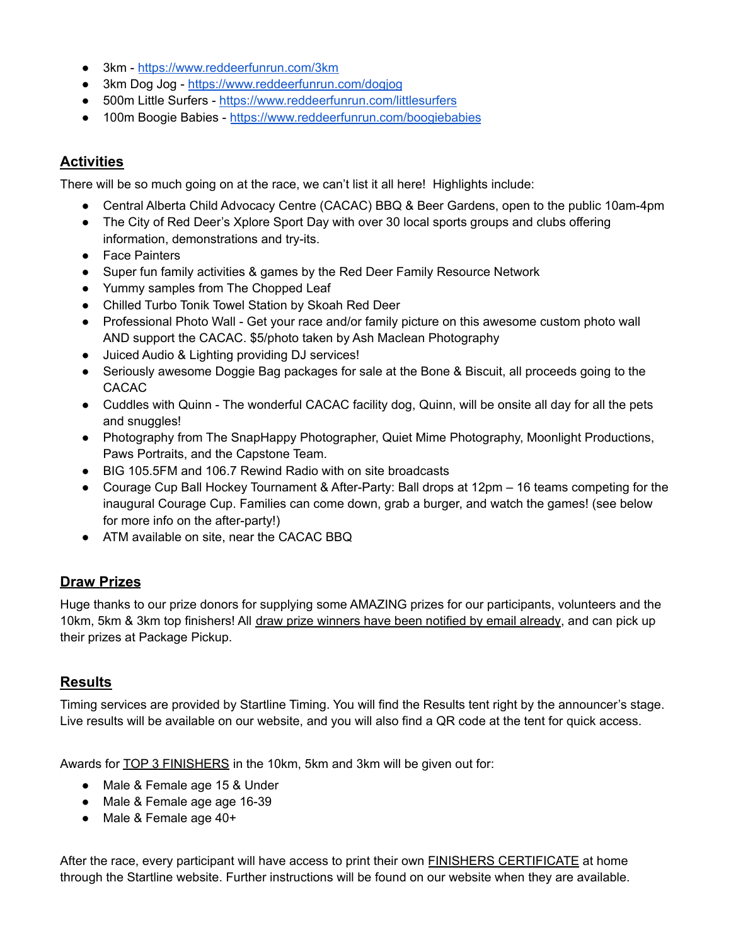- 3km <https://www.reddeerfunrun.com/3km>
- 3km Dog Jog <https://www.reddeerfunrun.com/dogjog>
- 500m Little Surfers <https://www.reddeerfunrun.com/littlesurfers>
- 100m Boogie Babies <https://www.reddeerfunrun.com/boogiebabies>

#### **Activities**

There will be so much going on at the race, we can't list it all here! Highlights include:

- Central Alberta Child Advocacy Centre (CACAC) BBQ & Beer Gardens, open to the public 10am-4pm
- The City of Red Deer's Xplore Sport Day with over 30 local sports groups and clubs offering information, demonstrations and try-its.
- Face Painters
- Super fun family activities & games by the Red Deer Family Resource Network
- Yummy samples from The Chopped Leaf
- Chilled Turbo Tonik Towel Station by Skoah Red Deer
- Professional Photo Wall Get your race and/or family picture on this awesome custom photo wall AND support the CACAC. \$5/photo taken by Ash Maclean Photography
- Juiced Audio & Lighting providing DJ services!
- Seriously awesome Doggie Bag packages for sale at the Bone & Biscuit, all proceeds going to the CACAC
- Cuddles with Quinn The wonderful CACAC facility dog, Quinn, will be onsite all day for all the pets and snuggles!
- Photography from The SnapHappy Photographer, Quiet Mime Photography, Moonlight Productions, Paws Portraits, and the Capstone Team.
- BIG 105.5FM and 106.7 Rewind Radio with on site broadcasts
- Courage Cup Ball Hockey Tournament & After-Party: Ball drops at 12pm 16 teams competing for the inaugural Courage Cup. Families can come down, grab a burger, and watch the games! (see below for more info on the after-party!)
- ATM available on site, near the CACAC BBQ

#### **Draw Prizes**

Huge thanks to our prize donors for supplying some AMAZING prizes for our participants, volunteers and the 10km, 5km & 3km top finishers! All draw prize winners have been notified by email already, and can pick up their prizes at Package Pickup.

#### **Results**

Timing services are provided by Startline Timing. You will find the Results tent right by the announcer's stage. Live results will be available on our website, and you will also find a QR code at the tent for quick access.

Awards for TOP 3 FINISHERS in the 10km, 5km and 3km will be given out for:

- Male & Female age 15 & Under
- Male & Female age age 16-39
- Male & Female age 40+

After the race, every participant will have access to print their own FINISHERS CERTIFICATE at home through the Startline website. Further instructions will be found on our website when they are available.